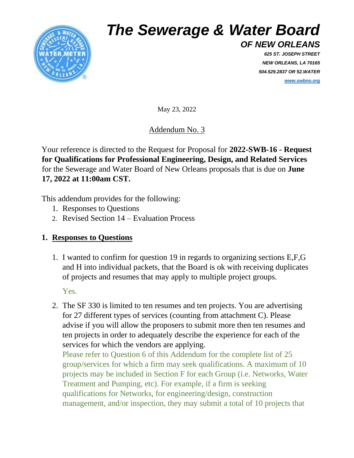

## *The Sewerage & Water Board*

*OF NEW ORLEANS 625 ST. JOSEPH STREET NEW ORLEANS, LA 70165 504.529.2837 OR 52.WATER [www.swbno.org](http://www.swbno.org/)*

May 23, 2022

Addendum No. 3

Your reference is directed to the Request for Proposal for **2022-SWB-16 - Request for Qualifications for Professional Engineering, Design, and Related Services** for the Sewerage and Water Board of New Orleans proposals that is due on **June 17, 2022 at 11:00am CST.**

This addendum provides for the following:

- 1. Responses to Questions
- 2. Revised Section 14 Evaluation Process

## **1. Responses to Questions**

1. I wanted to confirm for question 19 in regards to organizing sections E,F,G and H into individual packets, that the Board is ok with receiving duplicates of projects and resumes that may apply to multiple project groups.

Yes.

2. The SF 330 is limited to ten resumes and ten projects. You are advertising for 27 different types of services (counting from attachment C). Please advise if you will allow the proposers to submit more then ten resumes and ten projects in order to adequately describe the experience for each of the services for which the vendors are applying. Please refer to Question 6 of this Addendum for the complete list of 25

group/services for which a firm may seek qualifications. A maximum of 10 projects may be included in Section F for each Group (i.e. Networks, Water Treatment and Pumping, etc). For example, if a firm is seeking qualifications for Networks, for engineering/design, construction management, and/or inspection, they may submit a total of 10 projects that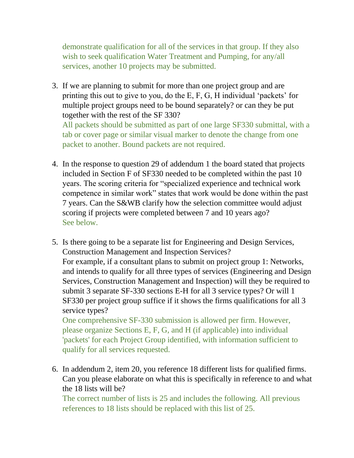demonstrate qualification for all of the services in that group. If they also wish to seek qualification Water Treatment and Pumping, for any/all services, another 10 projects may be submitted.

3. If we are planning to submit for more than one project group and are printing this out to give to you, do the E, F, G, H individual 'packets' for multiple project groups need to be bound separately? or can they be put together with the rest of the SF 330? All packets should be submitted as part of one large SF330 submittal, with a tab or cover page or similar visual marker to denote the change from one

packet to another. Bound packets are not required. 4. In the response to question 29 of addendum 1 the board stated that projects included in Section F of SF330 needed to be completed within the past 10

- years. The scoring criteria for "specialized experience and technical work competence in similar work" states that work would be done within the past 7 years. Can the S&WB clarify how the selection committee would adjust scoring if projects were completed between 7 and 10 years ago? See below.
- 5. Is there going to be a separate list for Engineering and Design Services, Construction Management and Inspection Services? For example, if a consultant plans to submit on project group 1: Networks, and intends to qualify for all three types of services (Engineering and Design Services, Construction Management and Inspection) will they be required to submit 3 separate SF-330 sections E-H for all 3 service types? Or will 1 SF330 per project group suffice if it shows the firms qualifications for all 3 service types?

One comprehensive SF-330 submission is allowed per firm. However, please organize Sections E, F, G, and H (if applicable) into individual 'packets' for each Project Group identified, with information sufficient to qualify for all services requested.

6. In addendum 2, item 20, you reference 18 different lists for qualified firms. Can you please elaborate on what this is specifically in reference to and what the 18 lists will be?

The correct number of lists is 25 and includes the following. All previous references to 18 lists should be replaced with this list of 25.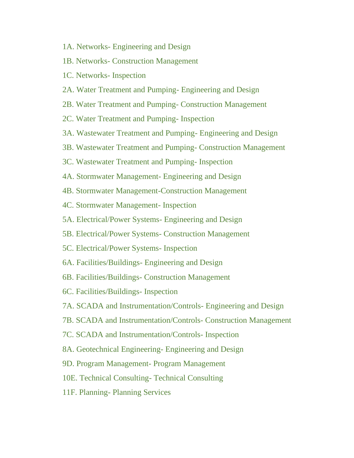- 1A. Networks- Engineering and Design
- 1B. Networks- Construction Management
- 1C. Networks- Inspection
- 2A. Water Treatment and Pumping- Engineering and Design
- 2B. Water Treatment and Pumping- Construction Management
- 2C. Water Treatment and Pumping- Inspection
- 3A. Wastewater Treatment and Pumping- Engineering and Design
- 3B. Wastewater Treatment and Pumping- Construction Management
- 3C. Wastewater Treatment and Pumping- Inspection
- 4A. Stormwater Management- Engineering and Design
- 4B. Stormwater Management-Construction Management
- 4C. Stormwater Management- Inspection
- 5A. Electrical/Power Systems- Engineering and Design
- 5B. Electrical/Power Systems- Construction Management
- 5C. Electrical/Power Systems- Inspection
- 6A. Facilities/Buildings- Engineering and Design
- 6B. Facilities/Buildings- Construction Management
- 6C. Facilities/Buildings- Inspection
- 7A. SCADA and Instrumentation/Controls- Engineering and Design
- 7B. SCADA and Instrumentation/Controls- Construction Management
- 7C. SCADA and Instrumentation/Controls- Inspection
- 8A. Geotechnical Engineering- Engineering and Design
- 9D. Program Management- Program Management
- 10E. Technical Consulting- Technical Consulting
- 11F. Planning- Planning Services